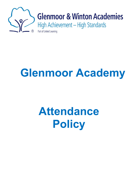

# **Glenmoor Academy**

# **Attendance Policy**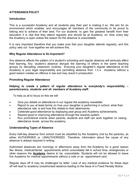## **ATTENDANCEPOLICY**

#### **Introduction**

This is a successful Academy and all students play their part in making it so. We aim for an environment which enables and encourages all members of the community to be proud to belong and to achieve of their best. For our students to gain the greatest benefit from their education it is vital that they attend regularly and should be at Academy, on time, every day the Academy is open unless the reason for the absence is unavoidable.

It is very important therefore that you make sure that your daughter attends regularly, and this policy sets out how together we will achieve this.

#### **Why Regular Attendance Is So Important?**

Any absence affects the pattern of a student's schooling and regular absence will seriously affect their learning. Any student's absence disrupts the learning of others in the same teaching groups by disrupting classroom routines. Ensuring your daughter's regular attendance at the Academy is your legal responsibility and permitting absence from t h e Academy without a good reason creates an offence in law and may result in prosecution.

#### **Promoting Regular Attendance**

#### **Helping to create a pattern of regular attendance is everybody's responsibility – parents/carers, students and all members of Academy staff.**

To help us all to focus on this we will:

- Give you details on attendance in our regular the academy newsletter.
- Report to you at least termly on how your daughter is performing in school, what their attendance rate is and how this relates to their attainments.
- Celebrate good attendance by displaying year group and Academy achievements.
- Reward good or improving attendance through the rewards system.
- Run promotional events when parents, students and staff can work together on raising attendance levels across the academy.

## **Understanding Types of Absence**

Every half-day absence from school must be classified by the Academy (not by the parents), as either AUTHORISED or UNAUTHORISED. Therefore, information about the cause of any absence is always required in writing.

Authorised absences are mornings or afternoons away from the Academy for a good reason like illness, medical/dental appointments which unavoidably fall in school time, emergencies or other reasons the **Academy** deems to be unavoidable. Students will not be allowed to leave the Academy for medical appointments without a note or an appointment card.

Regular days off ill may be challenged by letter. Lack of any medical evidence for these days off will lead to academy unauthorised absence leading to the issue of a Fixed Penalty Notice.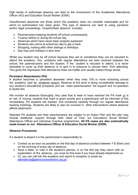High levels of authorised absence can lead to the involvement of the Academies Attendance Officer (AO) and Education Social Worker (ESW).

Unauthorised absences are those which the academy does not consider reasonable and for which no authorisation has been given. This type of absence can lead to using sanctions and/or legal proceedings. Unauthorised absence includes:

- Parents/carers keeping students off school unnecessarily.
- Truancy before or during the school day
- Absences which have never been properly explained
- Students who arrive at school too late to get a mark.
- Shopping, looking after other siblings or birthdays.
- Day trips and holidays in term time

Whilst any student may be off school because they are ill, sometimes they can be reluctant to attend the academy. Any problems with regular attendance are best resolved between the school, the parents/carers and the student. If the student is reluctant to attend, it is never advisable to cover up their absence or to give in to pressure to excuse them from attending. This gives the impression that attendance does not matter and usually makes things worse.

## **Persistent Absenteeism (PA)**

A student becomes a 'persistent absentee' when they miss 10% or more schooling across the academy year for whatever reason. Absence at this level is doing considerable damage to any student's educational prospects and we need parents/carers' full support and co-operation to tackle this.

We monitor all absence thoroughly. Any case that is seen to have reached the PA mark or is at risk of moving towards that mark is given priority and a parent/carer will be informed of this immediately. PA students are tracked and monitored carefully through our regular attendance tracking meetings. Students are likely to also be involved in other interventions where absence affects attainment.

Selected PA students and their parents/carers are subject to an Action Plan and the plan may include additional support through their Head of Year, our Educations Social Worker/ Attendance Officer and individual incentive programmes. **All PA cases are also automatically made known to our Attendance Officer & Education Social Worker (ESW).**

## **Absence Procedures**

If a student is absent it is the parent/carer's responsibility to:

- Contact us as soon as possible on the first day of absence (contact between 7-8.30am) and on the morning of every day of absence.
- Send a letter, or note in the student's planner, in on the first day they return with an explanation of the absence; you must do this even if you have already telephoned us
- Or, you can call into the academy and report to reception or email via [attendance@glenmoorandwinton.org.uk](mailto:attendance@glenmoorandwinton.org.uk)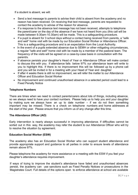If a student is absent, we will:

- Send a text message to parents to advise their child is absent from the academy and no reason has been received. On receiving that text message, parents are requested to contact the academy to advise of the reason for absence.
- If a response to the absence text message has not been received, attempts to telephone the parent/carer on the day of the absence if we have not heard from you (this call will be made between 9.30am-10.30am) will be made. This is a safeguarding procedure.
- If a pupil is absent for 3 school days without a contact being received from parents, a "safe" and well" home visit with be made by our Education Social Worker or Attendance Officer. This is a safeguarding procedure and is an expectation from the Local Authority.
- In the event of a pupils extended absence due to SEMH or other mitigating circumstances, a regular "safe and well" home visit with be made by a member of the pastoral team. The frequency of the visits will be agreed on a case-by-case basis in consultation with the parent/s.
- If absence persists your daughter's Head of Year or Attendance Officer will make contact to discuss this with you. If attendance falls below 97% our attendance team will write to you to highlight this. If there is no improvement this will be followed up by a phone call and you will be invited in for a meeting with your Head of Year and daughter
- If after 4 weeks there is still no improvement, we will refer the matter to our Attendance Officer and Education Social Worker
- No improvement and continued unauthorised absence in a selected period could lead to a Fixed Penalty Notice

# **Telephone Numbers**

There are times when we need to contact parents/carers about lots of things, including absence, so we always need to have your contact numbers. Please help us to help you and your daughter by making sure we always have an up to date number – if we do not then something important may be missed. There is a check on telephone numbers and home addresses at the start of the year. Please ensure that you inform us of any change after this time.

# **The Attendance Officer (AO)**

Early intervention is nearly always successful in improving attendance. If difficulties cannot be sorted out in this way, the academy may refer the student to our Attendance Officer who will try to resolve the situation by agreement.

# **Education Social Worker (ESW)**

The academy also has an Education Social Worker who can support student attendance and provide appropriate support and guidance to all parties in order to ensure levels of attendance remain above 97%.

Please telephone the academy for more assistance or a meeting with the ESW if you feel your daughter's attendance requires improvement.

If ways of trying to improve the student's attendance have failed and unauthorised absences persist, the academy can use sanctions such as Fixed Penalty Notices or prosecutions in the Magistrates Court. Full details of the options open to enforce attendance at school are available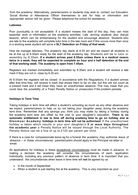from the academy. Alternatively, parents/carers or students may wish to contact our Education Social Worker or Attendance Officer themselves to ask for help or information and appropriate advice will be given. Please telephone the school for assistance.

## **Lateness**

Poor punctuality is not acceptable. If a student misses the start of the day, they can miss essential work or information on the academy activities. Late arriving students also disrupt lessons, which can be embarrassing for the student and encourage absence. Students who are late to the academy will complete tutor time in the late room and if this occurs more than once in a working week student will serve a **SLT Detention on Friday of that week.**

How we manage lateness. The academy day starts at 8.35 am and we expect all students to be at line up at 8.30am ready for the start of the academy day. Students will be in tutor or assembly by 8.35am. **If a student arrives past 8.35am unless there is a medical reason twice in a week, they will be expected to complete an hour and a half detention at the end of that working week. The academy is open from 7.45am.**

Registers are marked immediately and submitted by 8.35am and a student will receive a late mark if they are not in class by 8.35 am.

At 9.00am the registers will be closed. In accordance with the Regulations, if a student arrives after that time they will receive a mark that shows them to be on site, but this will not count as a present mark and it will mean they have an unauthorised absence. This may mean that you could face the possibility of a Fixed Penalty Notice or prosecution if the problem persists.

## **Holidays in Term Time**

Taking holidays in term time will affect a student's schooling as much as any other absence and we expect parents/carers to help us by not taking your daughter away during the academy term time. Remember that any savings you think you may make by taking a holiday during the academy term time are offset by the cost to your daughter's education. **There is no automatic entitlement in law to time off during academy time to go on holiday and at Glenmoor Academy holidays in term time will not be authorised**. If the unauthorised holiday is taken which results in your son/ daughter's **5 or more days throughout the academic year** a Penalty Notice will be issued through the Local Authority. The Penalty Notice can be a fine of up to £120 per parent per child.

If there is a case for compassionate leave eg for a funeral the academy may authorise leave of absence – in these circumstances' parents/carers should apply to the Principal via letter or email.

All applications for holidays in these exceptional circumstances must be made in advance. In making a decision the academy will consider the circumstances of each application individually, including any previous pattern of absence in term time. It is important that you understand the circumstances when leave in term time will **not** be agreed by us:

- In the month of September
- When a student is just starting the at the academy. This is very important as your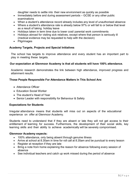daughter needs to settle into their new environment as quickly as possible

- Immediately before and during assessment periods GCSE or any other public examinations
- When a student's attendance record already includes any level of unauthorised absence
- Where a student's attendance rate is already below 97% or will fall to or below that level as a result of taking holiday leave
- Holidays taken in term time due to lower cost/ parental work commitments
- Holidays abroad for visiting sick relatives, except where that person is seriously ill (medical evidence may be requested to help with the decision)
- Pilgrimages

# **Academy Targets, Projects and Special Initiatives**

The school has targets to improve attendance and every student has an important part to play in meeting these targets.

# **Our expectation at Glenmoor Academy is that all students will have 100% attendance.**

Academic research demonstrates the link between high attendance, improved progress and attainment results.

# **Those People Responsible For Attendance Matters In This School Are:**

- Attendance Officer
- Education Social Worker
- The student's Head of Year
- Senior Leader with responsibility for Behaviour & Safety

# **Expectations for Students**

Irregular attendance means that students will miss out on aspects of the educational experience on offer at Glenmoor Academy.

Students need to understand that if they are absent or late they will not get access to their entitlement of learning for success. Furthermore, the development of their social skills, key learning skills and their ability to achieve academically will be severely compromised.

## **Glenmoor Academy expects:**

- 100% attendance, only being absent through genuine illness
- Arrive at school at 8.30am in time for roll call at 8.35am and be punctual to every lesson
- Register at reception if they are late
- Bring a note from home explaining the reason for absence following every session of absence
- See individual teachers and catch up work missed during the period of absence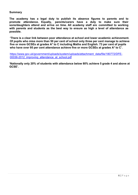### **Summary**

**The academy has a legal duty to publish its absence figures to parents and to promote attendance. Equally, parents/carers have a duty to make sure their sons/daughters attend and arrive on time. All academy staff are committed to working with parents and students as the best way to ensure as high a level of attendance as possible.**

**'There is a clear link between poor attendance at school and lower academic achievement. Of pupils who miss more than 50 per cent of school only three per cent manage to achieve five or more GCSEs at grades A\* to C including Maths and English. 73 per cent of pupils who have over 95 per cent attendance achieve five or more GCSEs at grades A\* to C'.** 

[https://www.gov.uk/government/uploads/system/uploads/attachment\\_data/file/180772/DFE-](https://www.gov.uk/government/uploads/system/uploads/attachment_data/file/180772/DFE-00036-2012_improving_attendance_at_school.pdf)00036-2012 improving attendance at school.pdf

**'Nationally only 20% of students with attendance below 80% achieve 5 grade 4 and above at GCSE'.**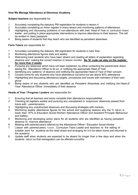## **How We Manage Attendance at Glenmoor Academy**

**Subject teachers** are responsible for:

- 1 Accurately completing the statutory PM registration for students in lesson 4
- 2 Accurately completing an Arbor register in every lesson and monitoring patterns of attendance.
- 3 Highlighting and discussing problems of non-attendance with their Head of Year or curriculum team leader and putting in place appropriate interventions to improve attendance to their lessons. This will be evident in class passports
- 4 Being aware of students that they teach who are identified as persistent absentees

#### **Form Tutors** are responsible for:

- 1 Accurately completing the statutory AM registration for students in tutor time
- 2 Monitoring attendance figures daily and weekly
- 3 Welcoming back students who have been absent and reading all letters of explanation regarding absence and making the correct insertion in lesson monitor. **No 'N' code can stay on the register for more than 2 weeks**
- 4 Pursuing any absences which have not been explained, by either contacting the parent/carer direct, asking the Attendance Officer to do so, or notifying the appropriate Head of Year
- 5 Identifying any 'patterns' of absence and notifying the appropriate Head of Year of their concern
- 6 Contact home for any students who have attendance concerns but are above 93% attendance<br>7 Highlighting and discussing attendance targets, procedures and issues with members of their to
- Highlighting and discussing attendance targets, procedures and issues with members of their tutor group
- 8 Being aware of any students who are identified as Persistent Absentees and notifying the Head of Year/ Attendance Officer immediately of their absence

#### **Heads of Year / Progress Leaders** are responsible for:

- 1 Ensuring that all teachers and tutors complete their attendance responsibilities<br>2 Checking all registers weekly and pursuing any unexplained or 'suspicious' abs
- 2 Checking all registers weekly and pursuing any unexplained or 'suspicious' absences passed from tutors with parents/carers
- 3 Highlighting any unauthorised absences and discussing strategies with mentors
- 4 Monitoring weekly attendance figures for the school and supplying reasons why the % return is lower than 97% to Education Social Worker/ Attendance Officer and Assistant Principle (Behaviour and Safety)
- 5 Monitoring and developing action plans for all students who are identified as having persistent absence to improve attendance
- 6 Meeting with parents/carers referred by the Attendance Officer / Education Social Worker
- 7 Liaison with parents/carers, tutor, Curriculum Team Leader and teachers re: the setting of suitable work for students as the need arises and arranging for it to be taken home and returned to the academy
- 8 Update staff when students are expected to be absent for longer than a few days and when the students return so that reintegration can be affected smoothly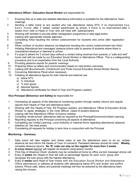#### **Attendance Officer / Education Social Worker** are responsible for:

- 1 Ensuring that up to date and detailed attendance information is available for the Attendance Team meetings
- 2 Sending a letter home to any student who has attendance below 97%; if no improvement h a s been made after 2 weeks contact parent/carer by phone; if there is no improvement after 2 weeks then refer to Head of Year who will meet with parents/carers
- 3 Working with families to provide either reintegration programme or take legal action
- 4 Liaising with appropriate outside agencies<br>5 Completing Arbor inputting the correct co
- 5 Completing Arbor inputting the correct code/comment for students who arrive after registration closes
- 6 When notified of student absence via telephone inputting the correct code/comment into Arbor
- 7 Initiating Attendance text messages/ absence phone calls to parents of students where there is unexplained absence or lateness to school
- 8 If a pupil is absent for 3 school days without a contact being received from parents, a "safe and well" home visit with be made by our Education Social Worker or Attendance Officer. This is a safeguarding procedure and is an expectation from the Local Authority
- 9 Providing absence reports for parents' evenings
- 10 Preparing follow up letters and communication based on intervention outcomes
- 11 Liaising with Bournemouth, Christchurch and Poole Council Education Social Worker Service
- 12 Convening Attendance Panel when necessary
- 13 Collating all attendance figures for both internal and external use:
	- a) below 97%
	- b) % individual
	- c) % tutor group
	- d) lateness figures
	- e) Attendance certificates for Head of Year and Progress Leaders

#### **Vice Principal (Behaviour and Safety) is** responsible for:

- 1 Overseeing all aspects of the attendance monitoring system through weekly returns and regular reports from Heads of Year and attendance team
- 2 Working with the Heads of Year, KS Progress Leaders, and Attendance Officer & Education Social Worker to agree strategies in the most difficult cases of student absence
- 3 Liaising with the Attendance Officer re truancy sweeps
- 4 Compiling 'whole-school' attendance data as required by the Principal/Governors/United Learning
- 5 Reporting regularly to the Principal concerning all aspects of attendance
- 6 Completing any United Learning, Local Authority or national forms regarding attendance/ absence statistics as the need arises
- 7 Considering all requests for holiday in term time in conjunction with the Principal

#### **Monitoring – Summary**

- 1 Daily tutors will take register and chase notes or ask the attendance team to do so, update absence list and inform the Heads of Year of concerns. Persistent lateness should be noted. **Weekly** complete absence returns. **No 'N' code can stay on the register for more than 2 weeks**
- 2 **In every lesson** teacher will register all students using lesson monitor
- 3 'First Day of Absence Check' students may be contacted at home by office via text message/ phone call
- 4 Every **2 weeks** the Heads of Year will look at percentage figures for each tutor group and recognise the tutor group with the highest attendance
- 5 Every **2 weeks** each Head of Year meets with the Education Social Worker and Attendance Office attendance to address all students with attendance below 97% and review and confirm actions. Phone calls, letters and parental meetings will then be actioned by the attendance team raising the concern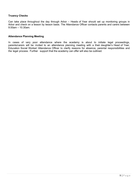#### **Truancy Checks**

Can take place throughout the day through Arbor – Heads of Year should set up monitoring groups in Arbor and check on a lesson by lesson basis. The Attendance Officer contacts parents and carers between 9.00am – 10.30am.

#### **Attendance Planning Meeting**

In cases of very poor attendance where the academy is about to initiate legal proceedings, parents/carers will be invited to an attendance planning meeting with a their daughter's Head of Year, Education Social Worker/ Attendance Officer to clarify reasons for absence, parental responsibilities and the legal process. Further support that the academy can offer will also be outlined.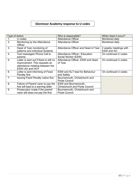# **Glenmoor Academy response to U codes**

| Type of Action   |                                          | Who is responsible?                   | When does it occur?    |
|------------------|------------------------------------------|---------------------------------------|------------------------|
|                  | U codes                                  | <b>Attendance Officer</b>             | Monitored daily        |
| 2.               | Monitoring by the Attendance<br>Officer  | <b>Attendance Officer</b>             | Monitored daily        |
|                  |                                          |                                       |                        |
| 3.               | Head of Year monitoring of               | Attendance Officer and Head of Year   | 2 weekly meetings with |
|                  | patterns and individual students         |                                       | ESW and AO             |
| $\overline{4}$ . | Text messages/ Phone Call to             | Attendance Officer / Education        | On continued U codes   |
|                  | parents                                  | Social Worker (ESW)                   |                        |
| 5.               | Letter is sent out if there is still no  | Attendance Officer, ESW and Head      | On continued U codes   |
|                  | improvement. This requests an            | of Year                               |                        |
|                  | attendance meeting between the           |                                       |                        |
|                  | ESW/ AO and HOY                          |                                       |                        |
| 6.               | Letter is sent informing of Fixed        | <b>ESW and SLT lead for Behaviour</b> | On continued U codes   |
|                  | Penalty fine                             | and Safety                            |                        |
| 7.               | <b>Issuing Fixed Penalty notice fine</b> | Bournemouth, Christchurch and         |                        |
|                  |                                          | Poole Council                         |                        |
| 8.               | Failure of Parent/ carer to pay the      | <b>ESW</b> and Bournemouth,           |                        |
|                  | fine will lead to a warning letter       | <b>Christchurch and Poole Council</b> |                        |
| 9.               | Prosecution made if the parent/          | Bournemouth, Christchurch and         |                        |
|                  | carer still does not pay the fine        | Poole Council                         |                        |